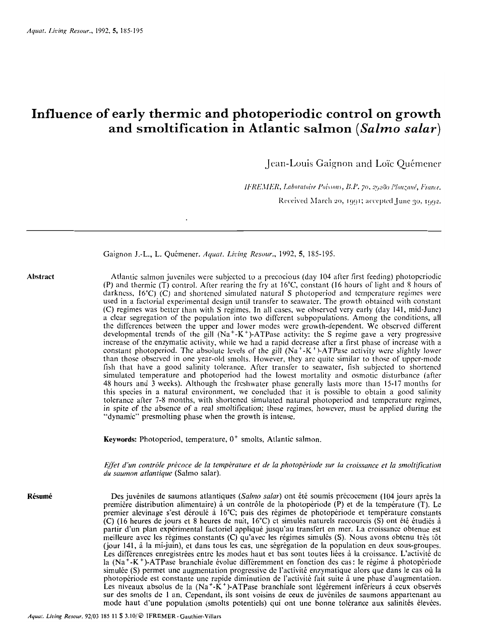# **Influence of early thermic and photoperiodic control on growth and smoltification in Atlantic salmon** *(Salmo salar)*

 $\cdot$ 

Jean-Louis Gaignon and Loïc Quémener

IFREMER, Laboratoire Poissons, B.P. 70, 29280 Plouzané, France.

Received March 20, 1991; accepted June 30, 1992.

|          | Gaignon J.-L., L. Quémener. Aquat. Living Resour., 1992, 5, 185-195.                                                                                                                                                                                                                                                                                                                                                                                                                                                                                                                                                                                                                                                                                                                                                                                                                                                                                                                                                                                                                                                                                                                                                                                                                                                                                                                                                                                                                                                                                                                                                                                                                                                                                                                                                                                                   |
|----------|------------------------------------------------------------------------------------------------------------------------------------------------------------------------------------------------------------------------------------------------------------------------------------------------------------------------------------------------------------------------------------------------------------------------------------------------------------------------------------------------------------------------------------------------------------------------------------------------------------------------------------------------------------------------------------------------------------------------------------------------------------------------------------------------------------------------------------------------------------------------------------------------------------------------------------------------------------------------------------------------------------------------------------------------------------------------------------------------------------------------------------------------------------------------------------------------------------------------------------------------------------------------------------------------------------------------------------------------------------------------------------------------------------------------------------------------------------------------------------------------------------------------------------------------------------------------------------------------------------------------------------------------------------------------------------------------------------------------------------------------------------------------------------------------------------------------------------------------------------------------|
| Abstract | Atlantic salmon juveniles were subjected to a precocious (day 104 after first feeding) photoperiodic<br>(P) and thermic (T) control. After rearing the fry at 16°C, constant (16 hours of light and 8 hours of<br>darkness, 16°C) (C) and shortened simulated natural S photoperiod and temperature regimes were<br>used in a factorial experimental design until transfer to seawater. The growth obtained with constant<br>(C) regimes was better than with S regimes. In all cases, we observed very early (day 141, mid-June)<br>a clear segregation of the population into two different subpopulations. Among the conditions, all<br>the differences between the upper and lower modes were growth-dependent. We observed different<br>developmental trends of the gill ( $Na^+ - K^+$ )-ATPase activity: the S regime gave a very progressive<br>increase of the enzymatic activity, while we had a rapid decrease after a first phase of increase with a<br>constant photoperiod. The absolute levels of the gill $(Na^+K^+)$ -ATPase activity were slightly lower<br>than those observed in one year-old smolts. However, they are quite similar to those of upper-mode<br>lish that have a good salinity tolerance. After transfer to seawater, fish subjected to shortened<br>simulated temperature and photoperiod had the lowest mortality and osmotic disturbance (after<br>48 hours and 3 weeks). Although the freshwater phase generally lasts more than 15-17 months for<br>this species in a natural environment, we concluded that it is possible to obtain a good salinity<br>tolerance after 7-8 months, with shortened simulated natural photoperiod and temperature regimes,<br>in spite of the absence of a real smoltification; these regimes, however, must be applied during the<br>"dynamic" presmolting phase when the growth is intense. |
|          | Keywords: Photoperiod, temperature, $0^+$ smolts, Atlantic salmon.                                                                                                                                                                                                                                                                                                                                                                                                                                                                                                                                                                                                                                                                                                                                                                                                                                                                                                                                                                                                                                                                                                                                                                                                                                                                                                                                                                                                                                                                                                                                                                                                                                                                                                                                                                                                     |
|          | Effet d'un contrôle précoce de la température et de la photopériode sur la croissance et la smoltification<br>du saumon atlantique (Salmo salar).                                                                                                                                                                                                                                                                                                                                                                                                                                                                                                                                                                                                                                                                                                                                                                                                                                                                                                                                                                                                                                                                                                                                                                                                                                                                                                                                                                                                                                                                                                                                                                                                                                                                                                                      |
| Résumé   | Des juvéniles de saumons atlantiques (Salmo salar) ont été soumis précocement (104 jours après la<br>première distribution alimentaire) à un contrôle de la photopériode (P) et de la température (T). Le<br>premier alevinage s'est déroulé à 16°C; puis des régimes de photopériode et température constants<br>(C) (16 heures de jours et 8 heures de nuit, 16°C) et simulés naturels raccourcis (S) ont été étudiés à<br>partir d'un plan expérimental factoriel appliqué jusqu'au transfert en mer. La croissance obtenue est<br>meilleure avec les régimes constants (C) qu'avec les régimes simulés (S). Nous avons obtenu très tôt<br>(jour 141, à la mi-juin), et dans tous les cas, une ségrégation de la population en deux sous-groupes.<br>Les différences enregistrées entre les modes haut et bas sont toutes liées à la croissance. L'activité de<br>la (Na <sup>+</sup> -K <sup>+</sup> )-ATPase branchiale évoluc différemment en fonction des cas : le régime à photopériode<br>simulée (S) permet une augmentation progressive de l'activité enzymatique alors que dans le cas où la<br>photopériode est constante une rapide diminution de l'activité fait suite à une phase d'augmentation.<br>Les niveaux absolus de la (Na <sup>+</sup> -K <sup>+</sup> )-ATPase branchiale sont légèrement inférieurs à ceux observés<br>sur des smolts de 1 an. Cependant, ils sont voisins de ceux de juvéniles de saumons appartenant au<br>mode haut d'une population (smolts potentiels) qui ont une bonne tolérance aux salinités élevées.                                                                                                                                                                                                                                                                                                              |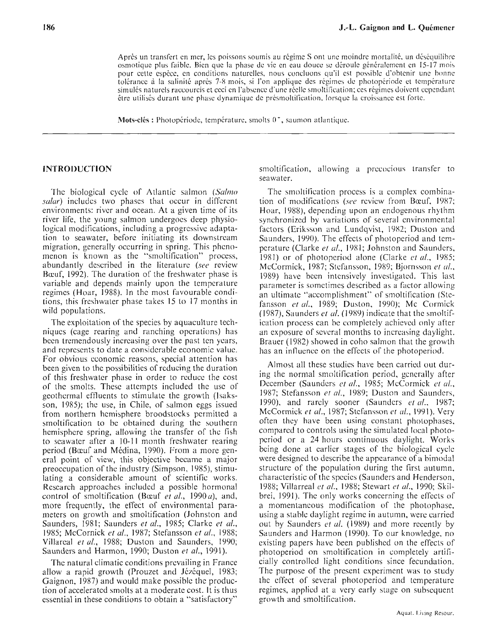Après un transfert en mer, les poissons soumis au régime S ont une moindre mortalité, un déséquilibre osmotique plus faible. Bien que la phase de vie en cau douce se déroule généralement en 15-17 mois pour cette espèce, en conditions naturelles, nous concluons qu'il est possible d'obtenir une bonne tolérance à la salinité après 7-8 mois, si l'on applique des régimes de photopériode et température simulés naturels raccourcis et ceci en l'absence d'une réelle smoltification; ces régimes doivent cependant être utilisés durant une phase dynamique de présmoltification, lorsque la croissance est forte.

**Mots-clés : Photopériode, température, smolts 0<sup>+</sup>, saumon atlantique.** 

### **INTRODUCTION**

The biological cycle of Atlantic salmon (Salmo salar) includes two phases that occur in different environments: rivcr and ocean. At a given time of its river life, the young salmon undergoes deep physiological modifications, including a progressive adaptation to seawater, before initiating its downstream migration, generally occurring in spring. This phenomenon is known as the "smoltification" process, abundantly described in the literature (see review Bocuf, 1992). The duration of the freshwater phase is variable and depends mainly upon the tempcrature regimcs (Hoar, 1988). In the most favourable conditions, this freshwater phase takes 15 to 17 months in wild populations.

The exploitation of the species by aquaculture techniques (cage rearing and ranching opcrations) has been tremendously increasing over the past ten ycars, and rcprcscnts to date a considcrable economic value. For obvious economic reasons, special attention has been given to the possibilities of reducing the duration of this freshwatcr phase in order to rcducc the cost of the smolts. These attcmpts included the use of geothermal effluents to stimulate the growth (Isaksson, 1985); the use, in Chile, of salmon eggs issued from northern hemisphere broodstocks permitted a smoltification to bc obtained during the southern hcmisphere spring, allowing the transfer of the fish to seawater after a 10-11 month freshwater rearing period (Bocuf and Médina, 1990). From a more general point of view, this objective became a major preoccupation of the industry (Simpson, 1985), stimulating a considerable amount of scientific works. Kescarch approaches includcd a possible hormonal control of smoltification (Bocuf et al., 1990a), and, more frequently, the effect of environmental parameters on growth and smoltification (Johnston and Saunders, 1981; Saunders et al., 1985; Clarke et al., 1985; McCornick et al., 1987; Stefansson et al., 1988; Villareal et al., 1988; Duston and Saunders, 1990; Saunders and Harmon, 1990; Duston et al., 1991).

The natural climatic conditions prcvailing in France allow a rapid growth (Prouzet and Jézéquel, 1983; Gaignon, 1987) and would make possible the production of accelerated smolts at a moderate cost. It is thus cssential in these conditions to obtain a "satisfactory"

smoltification, allowing a precocious transfer to seawater.

The smoltification process is a complex combination of modifications *(see* review from Bœuf, 1987; Hoar, 1988), depending upon an endogenous rhythm synchronized by variations of several environmental factors (Eriksson and Lundqvist, 1982; Duston and Saunders, 1990). The effects of photoperiod and tcmperature (Clarke et al., 1981; Johnston and Saunders, 1981) or of photopcriod alone (Clarke *ct* al., 1985; McCormick, 1987; Stefansson, 1989; Bjornsson et al., 1989) have been intcnsively investigatcd. This last parameter is somctimcs described as a factor allowing an ultimate "accomplishment" of smoltification (Stefansson et al., 1989; Duston, 1990); Mc Cormick (1987), Saunders et  $al.$  (1989) indicate that the smoltification process can be completely achieved only after an exposure of scvcral months to incrcasing daylight. Brauer (1982) showed in coho salmon that the growth has an influence on the effects of the photoperiod.

Almost al1 these studics have been carried out during the normal smoltification period, generally after December (Saunders *et al.*, 1985; McCormick *et al.*, 1987; Stefansson *et* al., 1989; Duston and Saundcrs, 1990), and rarely sooner (Saunders  $et$   $al.,$  1987; McCormick et al., 1987; Stefansson et al., 1991). Very often thcy have been using constant photophases, compared to controls using the simulated local photopcriod or a 24 hours continuous daylight. Works being done at carlier stages of thc biological cycle were designcd to describe the appcarance of a bimodal structure of the population during the first autumn, characteristic of the spccics (Saunders and Henderson, 1988; Villarreal et al., 1988; Stewart et al., 1990; Skilbrei, 1991). The only works concerning the effects of a momentancous modification of the photophase, using a stable daylight regime in autumn, were carried out by Saunders et al. (1989) and more recently by Saunders and Harmon (1990). To our knowledge, no cxisting papers have been published on the effects of photoperiod on smoltification in completely artificially controllcd light conditions since fecundation. The purpose of the present cxperiment was to study the effect of several photoperiod and temperaturc regimes, applicd at a very early stage on subsequent growth and smoltification.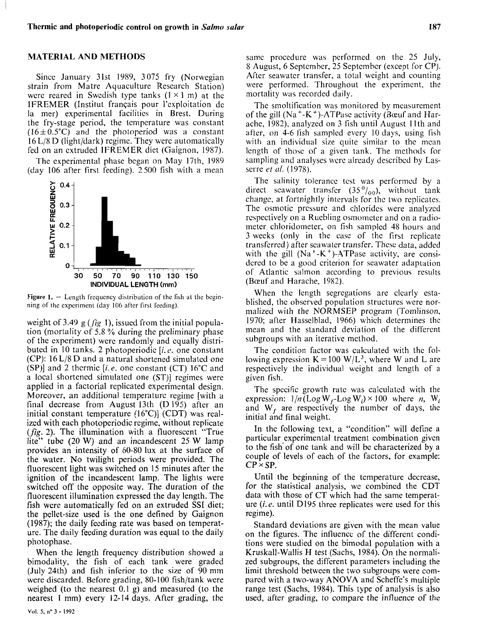# **MATERIAL AND METHODS**

Sincc January 31st 1989, 3075 fry (Norwegian strain from Matre Aquaculture Research Station) were reared in Swedish type tanks  $(1 \times 1 \text{ m})$  at the IFREMER (Institut français pour l'exploitation de la mer) experimental facilities in Brest. During the fry-stage period, the temperature was constant  $(16\pm 0.5^{\circ}C)$  and the photoperiod was a constant  $16 L/8 D$  (light/dark) regime. They were automatically fed on an cxtruded IFREMER diet (Gaignon, 1987).

The experimental phase began on May 17th, 1989 (day 106 after first feeding). 2500 fish with a mean



**Figure 1.**  $-$  Length frequency distribution of the fish at the beginning of the experiment (day 106 after first feeding).

weight of 3.49 g ( $f$ ig 1), issued from the initial population (mortality of 5.8 '% during the preliminary phase of the experiment) werc randomly and equally distributed in 10 tanks. 2 photoperiodic  $[i.e.$  one constant (CP): 16 L/8 D and a natural shortened simulated one (SP)] and 2 thermic [i.e. one constant (CT)  $16^{\circ}$ C and a local shortened simulated one (ST)] regimes were applied in a factorial replicated experimental design. Moreover, an additional temperaturc regime [with a final decrease from August 13th (D 195) after an initial constant temperature  $(16^{\circ}C)$ ] (CDT) was realized with each photoperiodic regime, without replicate (fig. 2). The illumination with a fluorescent "True lite" tube (20 W) and an incandescent 25 W lamp provides an intensity of 60-80 lux at the surface of the water. No twilight periods were provided. The fluorescent light was switched on 15 minutes after the ignition of the incandescent lamp. The lights were switched off the opposite way. The duration of the fluorescent illumination expressed the day length. The fish were automatically fed on an extruded SSI diet; the pellet-size used is the one defined by Gaignon (1987); the daily feeding rate was based on temperature. The daily feeding duration was equal to the daily photophase.

When the length frequency distribution showed a bimodality, the fish of each tank were graded (July 24th) and fish inferior to the size of 90 mm were discarded. Before grading, 80-100 fish/tank were weighed (to the nearest 0.1 g) and measured (to the nearest 1 mm) every 12-14 days. After grading, the

same procedure was performed on the 25 July, 8 August, 6 Septembcr, 25 Septcmbcr (except for CP). After seawatcr transfer, a total weight and counting were performcd. Throughout the experimcnt, the mortality was recorded daily.

The smoltification was monitored by measurement of the gill  $(Na^+ - K^+)$ -ATPase activity (Bœuf and Harache, 1982), analyzed on 3 fish uritil August I lth and after, on 4-6 fish sampled every 10 days, using fish with an individual size quite similar to the mean length of thosc of a given tank. The methods for sampling and analyses were already described by Lasserre *et* al. (1978).

The salinity tolerance tcst was performcd by a direct scawater transfer  $(35\frac{0}{00})$ , without tank change, at fortnightly intcrvals for thc two replicates. The osmotic pressure and chlorides were analyzcd respectively on a Ruebling osmomcter and on a radiometer chloridometer, on fish sampled 48 hours and 3 weeks (only in the casc of the first replicate transfcrrcd) after seawater transfer. Thcsc data, added with the gill (Na<sup>+</sup>-K<sup>+</sup>)-ATPase activity, are considcred to be a good criterion for seawater adaptation of Atlantic salmon according to previous results (Bœuf and Harache, 1982).

When the length segrcgations are clearly established, the observed population structures were normalized with the NORMSEP program (Tomlinson, 1970; after Hasselblad, 1966) which determines the mean and the standard deviation of the differcnt subgroups with an iterative method.

The condition factor was calculated with thc following expression  $K = 100 \text{ W/L}^3$ , where W and L are respectively the individual weight and lcngth of a given fish.

The specific growth ratc was calculatcd with the expression:  $1/n$  (Log W<sub>f</sub>-Log W<sub>i</sub>) × 100 where *n*, W<sub>i</sub> and  $W_f$  are respectively the number of days, the initial and final weight.

In thc following text, a "condition" will define a particular experimental treatment combination given to the fish'of one tank and will bc characterized by a couple of levels of each of the factors, for example:  $CP \times SP$ .

Until the beginning of the temperature decrease, for the statistical analysis, we combined the CDT data with those of CT which had the same temperature *(i.e.* until D195 three replicates were used for this regime).

Standard deviations are given with the mean value on the figures. The influence of the different conditions were studied on the bimodal population with a Kruskall-Wallis H test (Sachs, 1984). On the normalized subgroups, the different parameters including the limit threshold between the two subgroups were comparcd with a two-way ANOVA and Scheffe's multiple range test (Sachs, 1984). This type of analysis is also used, after grading, to compare the influence of the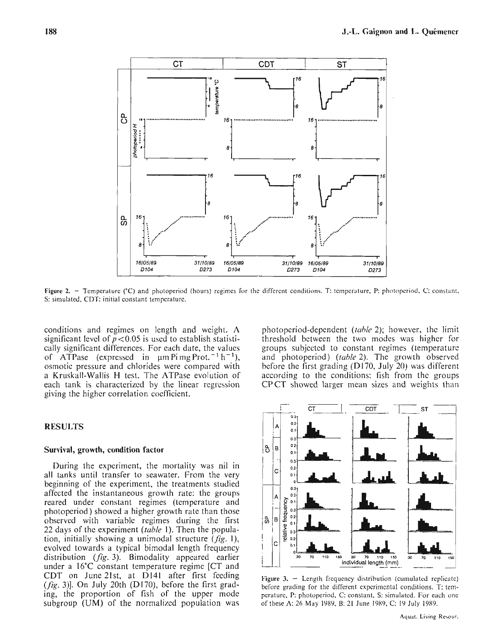

Figure 2. - Temperature (°C) and photoperiod (hours) regimes for the different conditions. T: temperature, P: photoperiod, C: constant, S: simulated, CDT: initial constant temperaturc.

conditions and regimes on length and weight. A significant level of  $p < 0.05$  is used to establish statistically significant differences. For each date, the values of ATPase (expressed in  $\mu$ m Pi mg Prot.<sup>-1</sup> h<sup>-1</sup>), osmotic pressure and chlorides were compared with a Kruskall-Wallis H test. The ATPase evolution of each tank is characterized by the linear regrcssion giving the highcr correlation coefficient.

# **RESULTS**

#### **Survival, growth, condition factor**

During the experiment, the mortality was ni1 in all tanks until transfer to seawater. From the very beginning of the experiment, the treatments studied affected the instantaneous growth rate: the groups reared under constant regimes (temperature and photoperiod) showed a higher growth rate than those observed with variable regimes during the first 22 days of the experiment *(table 1)*. Then the population, initially showing a unimodal structure  $(fig. 1)$ , evolved towards a typical bimodal length frequency distribution **(fig.** 3). Bimodality appcared earlier under a 16°C constant temperature regime [CT and CDT on June 2lst, at Dl41 after first feeding (fig. **3)].** On July 20th (D170), before the first grading, the proportion of fish of the upper mode subgroup (UM) of the normalizcd population was

photopcriod-dependent (tuhle 2); however, the limit threshold bctween the two modes was highcr for groups subjcctcd to constant rcgimes (temperaturc and photoperiod) (table 2). The growth observed bcfore the first grading (D170, July 20) was different according to the conditions: fish from the groups CPCT showed larger mean sizes and weights than



Figure  $3. -$  Length frequency distribution (cumulated replicate) before grading for the different expcrimental conditions. T: temperaturc. P: photoperiod. C: constant. S: simulated. For each one of these A: 26 May 1080, B: 21 June 1989, C: 10 July 1989.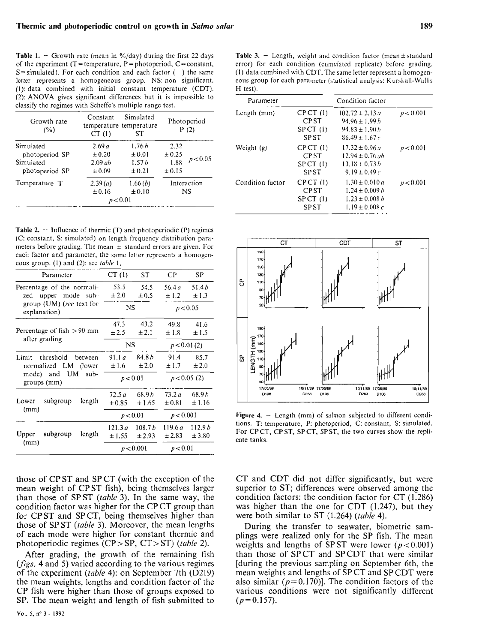**Table 1.**  $-$  Growth rate (mean in %/day) during the first 22 days of the experiment ( $T =$  temperature,  $P =$  photoperiod,  $C =$  constant,  $S =$ simulated). For each condition and each factor ( $\cdot$ ) the same letter reprcscnts a homogcncous group. NS: non significant. (1): data combined with initial constant temperature (CDT). (2): ANOVA gives signilicant differences but it is impossible to classify the regimes with Schcffc's multiplc range test.

| Growth rate<br>(%) | Constant<br>CT(1) | Simulated<br>temperature temperature<br>ST |             | Photoperiod<br>P(2) |
|--------------------|-------------------|--------------------------------------------|-------------|---------------------|
| Simulated          | 2.69a             | 1.76h                                      | 2.32        | p < 0.05            |
| photoperiod SP     | $\pm 0.20$        | $\pm 0.01$                                 | ± 0.25      |                     |
| Simulated          | $2.09$ ab         | 1.57h                                      | 1.88        |                     |
| photoperiod SP     | ± 0.09            | ± 0.21                                     | ± 0.15      |                     |
| Temperature T      | 2.39(a)           | 1.66(b)                                    | Interaction |                     |
|                    | $\pm 0.16$        | ± 0.10                                     | NS          |                     |
|                    |                   | p < 0.01                                   |             |                     |

**Table 2.**  $-$  Influence of thermic (T) and photoperiodic (P) regimes (C: constant, S: simulated) on lcngth frcqucncy distribution parameters before grading. The mean  $\pm$  standard errors are given. For each factor and parameter, the same letter represents a homogeneous group. (1) and (2): see table 1.

| Parameter                                         | CT(1)             | ST                 | CP             | SP                |                          |                                                       |
|---------------------------------------------------|-------------------|--------------------|----------------|-------------------|--------------------------|-------------------------------------------------------|
| Percentage of the normali-<br>zed upper mode sub- | 53.5<br>$\pm 2.0$ | 54.5<br>$\pm 0.5$  | 56.4 a<br>±1.2 | 51.4b<br>±1.3     | ₿                        |                                                       |
| group $(UM)$ (see text for<br>explanation)        | $_{\rm NS}$       |                    |                | p < 0.05          |                          |                                                       |
|                                                   | 47.3              | 43.2               | 49.8           | 41.6              |                          |                                                       |
| Percentage of fish $>90$ mm<br>after grading      | ± 2.5             | ± 2.1              | ±1.8           | ±1.5              |                          |                                                       |
|                                                   | NS                |                    |                | p < 0.01(2)       |                          | LENGTH (mm)<br>$= 8\frac{3}{8}\frac{3}{8}\frac{3}{8}$ |
| Limit<br>threshold<br>between                     | 91.1a             | 84.8 <sub>b</sub>  | 91.4           | 85.7              | ပ္ပ                      |                                                       |
| normalized LM (lower                              | ±1.6              | ± 2.0              | ±1.7           | ±2.0              |                          |                                                       |
| mode) and UM<br>$sub-$<br>groups (mm)             |                   | p < 0.01           |                | p < 0.05(2)       |                          |                                                       |
|                                                   | 72.5a             | 68.9 <sub>b</sub>  | 73.2a          | 68.9 <sub>b</sub> |                          |                                                       |
| subgroup<br>length<br>Lower                       | ± 0.85            | ±1.65              | $\pm 0.81$     | ±1.16             |                          |                                                       |
| (mm)                                              |                   | p < 0.01           | p < 0.001      |                   | Figure 4. $-$            |                                                       |
|                                                   | 121.3a            | 108.7 <sub>b</sub> | 119.6a         | 112.9b            | tions. T: te<br>For CPCT |                                                       |
| subgroup<br>length<br>Upper                       | ±1.55             | $\pm 2.93$         | ±2.83          | ± 3.80            | cate tanks.              |                                                       |
| (mm)                                              |                   | p < 0.001          | p < 0.01       |                   |                          |                                                       |

those of CPST and SPCT (with the exception of the mean weight of CPST fish), being themselves larger than those of SPST (table *3).* In the same way, the condition factor was higher for the CP CT group than for CP ST and SP CT, being themselves higher than those of SPST (table **3).** Moreover, the mean lengths of each mode were higher for constant thermic and photoperiodic regimes (CP > SP, CT > ST) (table 2).

After grading, the growth of the remaining fish **(fïgs.** 4 and 5) varied according to the various regimes of the experiment (table 4): on September 7th (D219) the mean weights, lengths and condition factor of the CP fish were higher than those of groups exposed to SP. The mean weight and length of fish submitted to

Table  $3. -$  Length, weight and condition factor (mean  $\pm$  standard error) for each condition (cumulated replicatc) before grading. (1) data combined with CDT. The same letter represent a homogencous group for cach parameter (statistical analysis: Kurskall-Wallis H test).

| Parameter        |             | Condition factor    |           |
|------------------|-------------|---------------------|-----------|
| Length (mm)      | CPCT(1)     | $102.72 \pm 2.13 a$ | p < 0.001 |
|                  | <b>CPST</b> | $94.96 \pm 1.99 h$  |           |
|                  | SPCT(1)     | $94.83 \pm 1.90 h$  |           |
|                  | <b>SPST</b> | $86.49 \pm 1.67c$   |           |
| Weight (g)       | CPCT(1)     | $17.32 \pm 0.96 a$  | p < 0.001 |
|                  | <b>CPST</b> | $12.94 + 0.76 ab$   |           |
|                  | SPCT(1)     | $13.18 + 0.73h$     |           |
|                  | <b>SPST</b> | $9.19 \pm 0.49c$    |           |
| Condition factor | CPCT(1)     | $1.30 \pm 0.010 a$  | p < 0.001 |
|                  | <b>CPST</b> | $1.24 \pm 0.009 h$  |           |
|                  | $SPCT$ (1)  | $1.23 \pm 0.008 b$  |           |
|                  | <b>SPST</b> | $1.19 \pm 0.008 c$  |           |



Figure 4. - Length (mm) of salmon subjected to different conditions. T: temperature, P: photopcriod, C: constant, S: simulated. For CPCT, CPST, SPCT, SPST, the two curves show the replicate tanks.

CT and CDT did not differ significantly, but were superior to ST; differences were observed among the condition factors: the condition factor for CT (1.286) was higher than the one for CDT (1.247), but they were both similar to ST  $(1.264)$  (table 4).

During the transfer to seawater, biometric samplings were realized only for the SP fish. The mean weights and lengths of SPST were lower ( $p < 0.001$ ) than those of SPCT and SPCDT that were similar [during the previous sampling on September 6th, the mean weights and lengths of SP CT and SP CDT were also similar ( $p = 0.170$ ). The condition factors of the various conditions were not significantly different  $(p = 0.157)$ .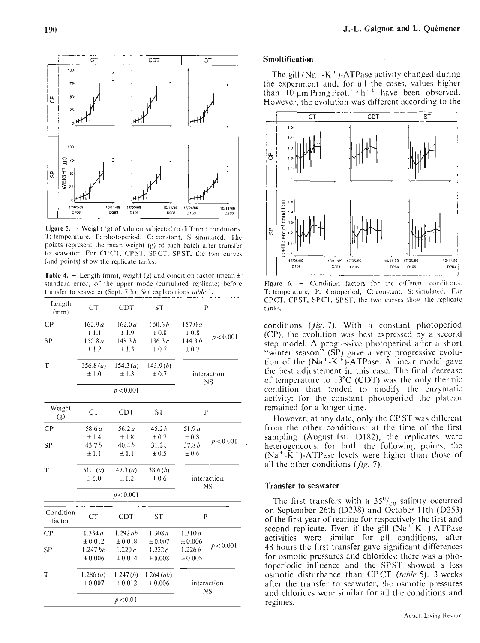J.-L. Gaignon and L. Ouémener



Figure 5.  $-$  Weight (g) of salmon subjected to different conditions. T: temperature, P: photoperiod, C: constant, S: simulated. The points represent the mean weight (g) of each batch after transfer to seawater. For CPCT, CPST, SPCT, SPST, the two curves (and points) show the replicate tanks.

Table 4. - Length (mm), weight (g) and condition factor (mean  $\pm$ standard error) of the upper mode (cumulated replicate) before transfer to seawater (Sept. 7th). See explanations table 1.

| Length<br>(mm)      | <b>CT</b>                           | <b>CDT</b>                                     | ST                                              | $\mathbf{P}$                                    |                          |
|---------------------|-------------------------------------|------------------------------------------------|-------------------------------------------------|-------------------------------------------------|--------------------------|
| CР<br><b>SP</b>     | 162.9a<br>$+1.1$<br>150.8 a<br>±1.2 | 162.0a<br>$+1.9$<br>148.3 <sub>b</sub><br>±1.3 | 150.6 <sub>b</sub><br>$+0.8$<br>136.3c<br>± 0.7 | 157.0a<br>$+0.8$<br>144.3 <sub>b</sub><br>± 0.7 | p < 0.001                |
| T                   | 156.8 (a)<br>±1.0                   | 154.3(a)<br>±1.3                               | 143.9(b)<br>$\pm 0.7$                           |                                                 | interaction<br>NS        |
|                     |                                     | p < 0.001                                      |                                                 |                                                 |                          |
| Weight<br>(g)       | <b>CT</b>                           | CDT                                            | ST                                              | P                                               |                          |
| CP                  | 58.6a                               | 56.2 a                                         | 45.2h                                           | 51.9a                                           |                          |
| SP                  | ±1.4<br>43.7 <sub>b</sub><br>±1.1   | ±1.8<br>40.4h<br>±1.1                          | $\pm 0.7$<br>31.2c<br>$\pm 0.5$                 | $\pm 0.8$<br>37.8 <sub>b</sub><br>$\pm 0.6$     | p < 0.001                |
| T                   | 51.1(a)<br>$+1.0$                   | 47.3(u)<br>±1.2                                | 38.6(b)<br>± 0.6                                |                                                 | interaction<br><b>NS</b> |
|                     |                                     | p < 0.001                                      |                                                 |                                                 |                          |
| Condition<br>factor | CT                                  | CDT                                            | <b>ST</b>                                       | P                                               |                          |
| CP                  | 1.334 a                             | $1.292$ ab                                     | 1.308 a                                         | 1.310a                                          |                          |
| <b>SP</b>           | ± 0.012<br>$1.247$ $bc$<br>± 0.006  | ± 0.018<br>1.220 $c$<br>± 0.014                | ± 0.007<br>1.222c<br>± 0.008                    | ± 0.006<br>1.226h<br>± 0.005                    | p < 0.001                |
| T                   | 1.286(a)<br>± 0.007                 | 1.247(b)<br>± 0.012                            | $1.264$ (ab)<br>± 0.006                         |                                                 | interaction<br>NS        |
|                     |                                     | p < 0.01                                       |                                                 |                                                 |                          |

#### **Smoltification**

The gill  $(Na^+ - K^+)$ -ATPase activity changed during the experiment and, for all the cases, values higher than 10  $\mu$ m Pi mg Prot.<sup>-1</sup> h<sup>-1</sup> have been observed. However, the evolution was different according to the



Condition factors for the different conditions. Figure 6.  $-$ T: temperature, P: photoperiod, C: constant, S: simulated. For CPCT, CPST, SPCT, SPST, the two curves show the replicate tanks.

conditions (fig. 7). With a constant photoperiod (CP), the evolution was best expressed by a second step model. A progressive photoperiod after a short "winter season" (SP) gave a very progressive evolution of the  $(Na^+ - K^+)$ -ATPase. A linear model gave the best adjustement in this case. The final decrease of temperature to 13°C (CDT) was the only thermic condition that tended to modify the enzymatic activity: for the constant photoperiod the plateau remained for a longer time.

However, at any date, only the CPST was different from the other conditions: at the time of the first sampling (August 1st, D182), the replicates were heterogeneous; for both the following points, the (Na<sup>+</sup>-K<sup>+</sup>)-ATPase levels were higher than those of all the other conditions  $(fig. 7)$ .

#### Transfer to scawater

The first transfers with a  $35\%$ <sub>00</sub> salinity occurred on September 26th (D238) and October 11th (D253) of the first year of rearing for respectively the first and second replicate. Even if the gill  $(Na^+K^+)$ -ATPase activities were similar for all conditions, after 48 hours the first transfer gave significant differences for osmotic pressures and chlorides: there was a photoperiodic influence and the SPST showed a less osmotic disturbance than CPCT *(table 5)*. 3 weeks after the transfer to seawater, the osmotic pressures and chlorides were similar for all the conditions and regimes.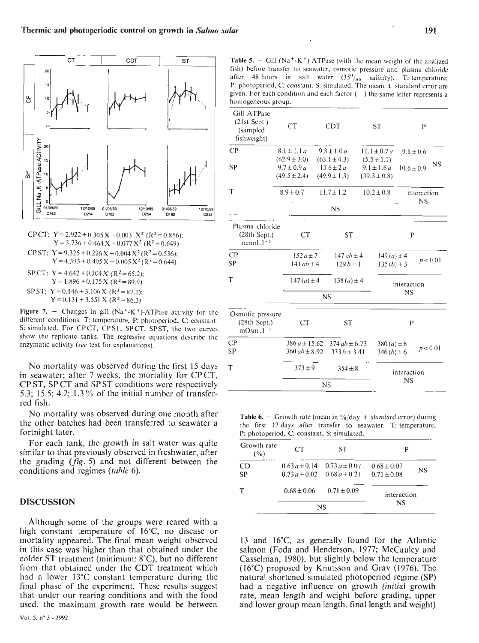

CP CT: 
$$
Y = 2.922 + 0.305 \text{ X} - 0.003 \text{ X}^2 \text{ (R}^2 = 0.856);
$$
  
\n $Y - 3.736 + 0.464 \text{ X} - 0.077 \text{ X}^2 \text{ (R}^2 = 0.649)}$   
\nCP ST:  $Y = 9.325 + 0.226 \text{ X} - 0.004 \text{ X}^2 \text{ (R}^2 = 0.536);$   
\n $Y = 4.393 + 0.405 \text{ X} - 0.005 \text{ X}^2 \text{ (R}^2 - 0.644)$   
\nSP CT:  $Y = 4.642 + 0.104 \text{ X} \text{ (R}^2 = 65.2);$   
\n $Y - 1.896 + 0.175 \text{ X} \text{ (R}^2 = 89.9)}$   
\nSP ST:  $Y = 0.146 + 3.106 \text{ X} \text{ (R}^2 = 87.1);$   
\n $Y = 0.131 + 3.551 \text{ X} \text{ (R}^2 - 86.3)$ 

**Figure 7.** - Changes in gill  $(Na^+ - K^+)$ -ATPase activity for the different conditions. T: temperature, P: photoperiod, C: constant. S: simulated. For CPCT, CPST, SPCT, SPST, the two curves show the replicatc tanks. The regressive equations describe thc cnzymatic activity **(sec** text for explanations).

No mortality was observed during the first 15 days in seawater; after 7 weeks, the mortality for CPCT, CP ST, SP CT and SP ST conditions wcrc rcspcctivcly 5.3; 15.5; 4.2; 1.3 % of thc initial numbcr of transferred fish.

No mortality was observed during one month after the other batches had been transferred to seawater a fortnight later.

For each tank, the growth in salt water was quite similar to that previously observed in freshwater, after the grading  $(fig. 5)$  and not different between the conditions and regimes *(table* 6).

## **DISCUSSION**

Although some of the groups were reared with a high constant temperature of 16"C, no disease or mortality appeared. The final mean weight obscrvcd in this case was higher than that obtained under the colder ST treatment (minimum: 8"C), but no different from that obtained under the CDT treatment which had a lower 13°C constant temperature during thc final phase of the cxpcrimcnt. Thcsc rcsults suggest that undcr our rearing conditions and with the food used, the maximum growth rate would be between

191

**Table 5.**  $-$  Gill (Na<sup>+</sup>-K<sup>+</sup>)-ATPase (with the mean weight of the analized fish) before transfer to seawater, osmotic pressure and plasma chloride after 48 hours in salt water  $(35\%_{00}$  salinity). T:temperaturc: P: photoperiod, C: constant, S: simulated. The mean  $\pm$  standard crror are given. For each condition and each factor () the same letter represents a homogeneous group.

| <b>CT</b>                                          |           | <b>CDT</b>                                                                                  |                                                                                            | <b>ST</b>                                                                    |                                                                                           | P                                                  |                                                                                            |  |
|----------------------------------------------------|-----------|---------------------------------------------------------------------------------------------|--------------------------------------------------------------------------------------------|------------------------------------------------------------------------------|-------------------------------------------------------------------------------------------|----------------------------------------------------|--------------------------------------------------------------------------------------------|--|
| $8.1 \pm 1.1 a$                                    |           |                                                                                             |                                                                                            |                                                                              |                                                                                           |                                                    |                                                                                            |  |
| $(62.9 \pm 3.0)$                                   |           |                                                                                             |                                                                                            |                                                                              |                                                                                           |                                                    |                                                                                            |  |
| $9.7 \pm 0.9 a$                                    |           |                                                                                             |                                                                                            |                                                                              |                                                                                           |                                                    | NS                                                                                         |  |
| $(49.5 \pm 2.4)$                                   |           |                                                                                             |                                                                                            |                                                                              |                                                                                           |                                                    |                                                                                            |  |
| $8.9 + 0.7$                                        |           |                                                                                             |                                                                                            |                                                                              |                                                                                           |                                                    |                                                                                            |  |
|                                                    |           | <b>NS</b>                                                                                   |                                                                                            |                                                                              |                                                                                           |                                                    |                                                                                            |  |
| Plasma chloride<br>$(28th$ Sept.)                  |           | <b>ST</b>                                                                                   |                                                                                            |                                                                              |                                                                                           |                                                    |                                                                                            |  |
|                                                    |           |                                                                                             |                                                                                            |                                                                              |                                                                                           |                                                    |                                                                                            |  |
|                                                    |           | $129b + 1$                                                                                  |                                                                                            | p < 0.01<br>$135(b) \pm 3$                                                   |                                                                                           |                                                    |                                                                                            |  |
|                                                    |           |                                                                                             |                                                                                            |                                                                              |                                                                                           |                                                    |                                                                                            |  |
|                                                    | NS        |                                                                                             |                                                                                            |                                                                              |                                                                                           |                                                    |                                                                                            |  |
| Osmotic pressure<br>$(28th$ Sept.)<br>CT<br>mOsm.1 |           | <b>ST</b>                                                                                   |                                                                                            | P                                                                            |                                                                                           |                                                    |                                                                                            |  |
|                                                    |           |                                                                                             |                                                                                            |                                                                              |                                                                                           |                                                    |                                                                                            |  |
|                                                    |           |                                                                                             |                                                                                            |                                                                              |                                                                                           |                                                    |                                                                                            |  |
|                                                    |           |                                                                                             |                                                                                            |                                                                              |                                                                                           |                                                    |                                                                                            |  |
| $373 \pm 9$                                        |           | $354 \pm 8$                                                                                 |                                                                                            |                                                                              | interaction                                                                               |                                                    |                                                                                            |  |
|                                                    | <b>CT</b> | $152a \pm 7$<br>141 $ab \pm 4$<br>$147(a) \pm 4$<br>$386a \pm 15.62$<br>$360$ ab $\pm 8.92$ | $9.8 \pm 1.0 a$<br>$(63.1 \pm 4.3)$<br>$13.6 \pm 2a$<br>$(49.9 \pm 1.3)$<br>$11.7 \pm 1.2$ | $147$ ab $\pm 4$<br>$138(a) \pm 4$<br>$374$ ab $\pm$ 6.73<br>$333b \pm 3.41$ | $11.1 \pm 0.7 a$<br>$(5.5 + 1.1)$<br>$9.1 \pm 1.6a$<br>$(39.3 \pm 0.8)$<br>$10.2 \pm 0.8$ | $149(a) \pm 4$<br>$380(a) \pm 8$<br>$346(b) \pm 6$ | $9.8 \pm 0.6$<br>$10.6 \pm 0.9$<br>interaction<br>NS<br>P<br>interaction<br>NS<br>p < 0.01 |  |

**Table 6.** - Growth rate (mean in %/day  $\pm$  standard crror) during thc first 17 days after transfer to seawater. T: temperature, P: photoperiod, *C:* constant, S: simulatcd.

| Growth rate<br>(%) | CT                                    | ST                                     | P                                  |    |  |
|--------------------|---------------------------------------|----------------------------------------|------------------------------------|----|--|
| CD<br>SP           | $0.63 a \pm 0.14$<br>$0.73a \pm 0.02$ | $0.73 a \pm 0.07$<br>$0.68 a \pm 0.21$ | $0.68 \pm 0.07$<br>$0.71 \pm 0.08$ | NS |  |
| Υ                  | $0.68 \pm 0.06$                       | $0.71 \pm 0.09$                        | interaction                        |    |  |
|                    |                                       | NS                                     | <b>NS</b>                          |    |  |

13 and 16°C, as generally found for the Atlantic salmon (Foda and Henderson, 1977; McCauley and Casselman, 1980), but slightly bclow the temperature (16°C) proposcd by Knutsson and Grav (1976). The natural shortened simulated photoperiod regime (SP) had a negative influence on growth (initial growth rate, mean length and wcight bcforc grading, upper and lower group mcan lcngth, final length and weight)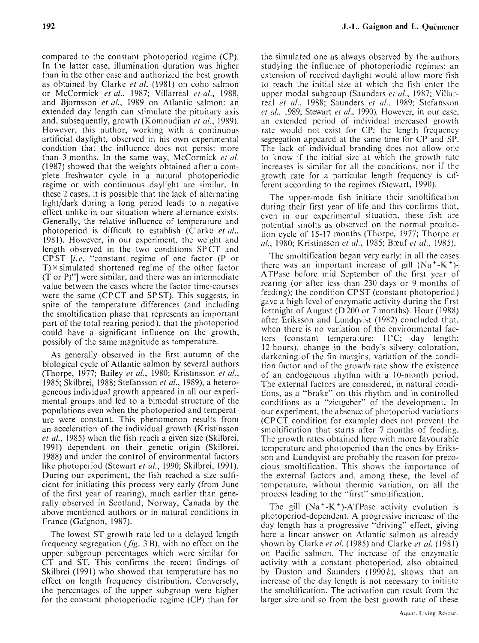compared to the constant photoperiod regime (CP). In the latter case, illumination duration was higher than in the other case and authorized the best growth as obtained by Clarke *et al.* (1981) on coho salmon or McCormick *et al.,* 1987; Villarreal *et ul.,* 1988, and Bjornsson *et ul.,* 1989 on Atlantic salmon: an extended day length can stimulate the pituitary axis and, subsequently, growth (Komoudjian *ct al.,* 1989). However, this author, working with a continuous artificial daylight, observed in his own experimental condition that the influence does not persist more than 3 months. In the same way, McCormick et al. (1987) showed that the weights obtained after a complete freshwater cycle in a natural photoperiodic regime or with continuous daylight are similar. In these 2 cases, it is possible that the lack of alternating light/dark during a long period leads to a negative effect unlike in our situation where alternance exists. Generally, the relative influence of tempcraturc and photoperiod is difficult to establish (Clarkc *ct al.,*  1981). However, in our experiment, the weight and length observed in the two conditions SPCT and CPST *[i.c.* "constant regime of one factor (P or  $T \times$  simulated shortened regime of the other factor (T or P)"] were similar, and there was an intermediate value between the cases where the factor time-courses were the same (CP CT and SP ST). This suggests, in spite of the temperature differences (and including the smoltification phase that represents an important part of the total rearing period), that the photoperiod could have a significant influence on the growth, possibly of the same magnitude as temperature.

As generally observed in the first autumn of the biological cycle of Atlantic salmon by several authors (Thorpe, 1977; Bailey *et al.,* 1980; Kristinsson *ct ul.,*  1985; Skilbrei, 1988; Stefansson *et al.,* 1989), a heterogeneous individual growth appeared in al1 Our experimental groups and led to a bimodal structure of the populations even when the photoperiod and temperature were constant. This phenomenon results from an acceleration of the individual growth (Kristinsson *et ul.,* 1985) when the fish reach a given size (Skilbrei, 1991) dependent on their genetic origin (Skilbrei, 1988) and under the control of environmental factors like photoperiod (Stewart *et al.,* 1990; Skilbrei, 1991). During our experiment, the fish reached a size sufficient for initiating this process very early (from June of the first year of rearing), much earlier than generally observed in Scotland, Norway, Canada by the above mentioncd authors or in natural conditions in France (Gaignon, 1987).

The lowest ST growth rate led to a dclayed lcngth frequency segregation **(fïg.** 3 B), with no effect on thc upper subgroup percentagcs which were similar for CT and ST. This confirms the recent findings of Skilbrci (1991) who showed that temperature has no effect on length frcquency distribution. Convcrsely, the percentages of the upper subgroup were higher for the constant photopcriodic regime (CP) than for

the simulated one as always observed by the authors studying the influence of photoperiodic rcgimes: an extension of rcceivcd daylight would allow more fish to reach the initial size at which the fish enter the upper modal subgroup (Saunders *ct ul..* 1987; Villarreal *et al.,* 1988; Saunders *et d.,* 1989; Stcfansson *et (11..* 1989; Stewart *et al.,* 1990). However, in our case, an cxtended pcriod of individual increascd growth rate would not exist for CP: the length frequency segregation appeared at the same time for CP and SP. The lack of individual branding does not allow one to know if the initial size at which the growth rate increases is similar for all the conditions, nor if the growth rate for a particular length frequency is different according to the regimes (Stewart, 1990).

The upper-mode fish initiate their smoltification during their first year of life and this confirms that. even in our experimental situation, these fish are potcntial sinolts as obscrvcd on the normal production cycle of 15-17 months (Thorpe, 1977; Thorpc *et ul.,* 1980; Kristinsson *et al.,* 1985; Bœuf *et al.,* 1985).

The smoltification began very early: in al1 the cases there was an important increase of gill  $(Na^+ - K^+)$ ATPase before mid Scptember of the first ycar of rearing (or after less than 230 days or 9 months of feeding); the condition CP ST (constant photoperiod) gave a high lcvcl of enzymatic activity during the tirst fortnight of August ( $D$  200 or 7 months). Hoar (1988) after Eriksson and Lundqvist (1982) concluded that, when there is no variation of the environmental factors (constant temperature: 11°C; day length: 12 hours), change in the body's silvery coloration, darkcning of the fin margins, variation of the condition factor and of the growth rate show the existence of an endogenous rhythm with a IO-month pcriod. The external factors are considered, in natural conditions, as a "brake" on this rhythm and in controlled conditions as a "zietgeber" of the development. In our experiment, thc absencc of photopcriod variations (CPCT condition for example) does not prevcnt the smoltification that starts after 7 months of feeding. The growth rates obtained here with more favourable tempcraturc and photopcriod than the oncs by Eriksson and Lundqvist are probably the reason for precocious smoltification. This shows the importance of the external factors and, among these, the level of tempcraturc, without thermic variation, on al1 the proccss leading to the "first" smoltification.

The gill  $(Na^+ - K^+)$ -ATPase activity evolution is photoperiod-dependent. A progressive incrcasc of the day length has a progressive "driving" effect, giving herc a lincar answer on Atlantic salmon as already shown by Clarke *et al.* (1985) and Clarke *ct ul.* (1981) on Pacific salmon. The increase of the enzymatic activity with a constant photoperiod, also obtained by Duston and Saunders  $(1990b)$ , shows that an incrcasc of the day length is not necessary to initiate the smoltification. The activation can result from the larger size and so from the best growth rate of these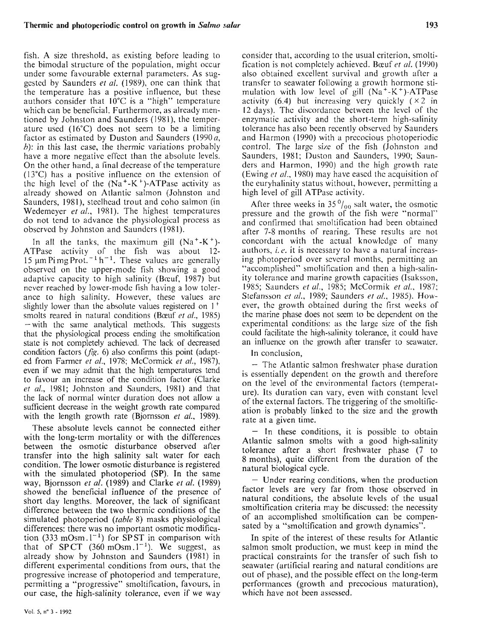fish. A size threshold, as existing before leading to the bimodal structure of the population, might occur under some favourable external parameters. As suggcstcd by Saunders *et al.* (1989), one can think that the temperature has a positive influence, but thesc authors consider that 10°C is a "high" tempcrature which can be beneficial. Furthermore, as alrcady mentioned by Johnston and Saunders (1981), the temperaturc used (16°C) does not secm to be a limiting factor as estimated by Duston and Saunders (1990a, *h*): in this last case, the thermic variations probably have a more negative effect than the absolute levels. On the other hand, a final decrease of the temperature (13°C) has a positive influence on the extension of the high level of the  $(Na^+ - K^+)$ -ATPase activity as already showed on Atlantic salmon (Johnston and Saunders, 1981), steelhead trout and coho salmon (in Wedemeyer *et al.,* 1981). The highest tempcratures do not tend to advance the physiological process as obscrvcd by Johnston and Saundcrs (1981).

In all the tanks, the maximum gill  $(Na^+ - K^+)$ ATPase activity of the fish was about 12- 15 um Pi mg Prot.<sup> $-1$ </sup> h<sup>-1</sup>. These values are generally observed on the upper-mode fish showing a good adaptive capacity to high salinity (Bocuf, 1987) but ncver reached by lowcr-mode fish having a low tolerance to high salinity. However, these values arc slightly lower than the absolute values registered on 1<sup>+</sup> smolts reared in natural conditions (Bœuf *et al.,* 1985)  $-$  with the same analytical methods. This suggests that the physiological process ending the smoltification state is not completely achievcd. The lack of decreased condition factors  $(f \mid g. 6)$  also confirms this point (adapted from Farmcr *et al.,* 1978; McCormick *et al.,* 1987), even if WC may admit that the high temperatures tend to favour an increase of the condition factor (Clarke *et ul.,* 1981; Johnston and Saunders, 1981) and that the lack of normal winter duration does not allow a sufficient decrcase in the weight growth rate comparcd with the length growth rate (Bjornsson *et al.,* 1989).

These absolute levels cannot be connected either with the long-term mortality or with the differences between the osmotic disturbance observed after transfer into the high salinity salt water for each condition. The lower osmotic disturbance is registered with the simulated photoperiod (SP). In the same way, Bjornsson *et al.* (1989) and Clarke *et al.* (1989) showed the beneficial influence of the presence of short day lengths. Moreover, the lack of significant difference between the two thermic conditions of the simulated photoperiod *(table* 8) masks physiological differences: there was no important osmotic modification (333 mOsm. $1^{-1}$ ) for SP ST in comparison with that of SPCT  $(360 \text{ mOsm.1}^{-1})$ . We suggest, as already show by Johnston and Saunders (1981) in different experimental conditions from ours, that the progressive increase of photoperiod and temperature, permitting a "progressive" smoltification, favours, in our case, the high-salinity tolerance, even if we way

**Vol. 5, no** 3 - 1992

consider that, according to the usual criterion. smoltification is not completely achieved. Bœuf *et al.* (1990) also obtained excellent survival and growth after a transfer to seawater following a growth hormone stimulation with low level of gill  $(Na^+ - K^+)$ -ATPase activity (6.4) but increasing very quickly  $(x 2 \text{ in})$ 12 days). The discordance between the levcl of the enzymatic activity and the short-term high-salinity tolerance has also been recently obscrved by Saunders and Harmon (1990) with a precocious photoperiodic control. The large size of the fish (Johnston and Saunders, 1981; Duston and Saunders, 1990; Saunders and Harmon, 1990) and the high growth rate (Ewing *et al.,* 1980) may have eascd thc acquisition of the euryhalinity status without, however, permitting a high level of gill ATPase activity.

After three weeks in 35 $\frac{0}{00}$  salt water, the osmotic pressure and the growth of the fish were "normal" and confirmed that smoltification had been obtained after 7-8 months of rearing. These results arc not concordant with the actual knowlcdgc of many authors, i. *c.* it is necessary to have a natural increasing photoperiod over scveral months, permitting an "accomplished" smoltification and then a high-salinity tolerance and marine growth capacities (Isaksson, 1985; Saundcrs *et al.,* 1985; McCormik *et al.,* 1987; Stefansson *et al.,* 1989; Saunders *et al.,* 1985). However, the growth obtained during the first weeks of the marine phase does not seem to bc dependent on the experimental conditions: as the large size of the fish could facilitate the high-salinity tolerance, it could have an influence on the growth after transfer to seawater.

In conclusion,

- The Atlantic salmon freshwatcr phase duration is essentially dependent on thc growth and therefore on the level of the cnvironmental factors (temperature). Its duration can Vary, even with constant lcvcl of the cxternal factors. The triggering of the smoltification is probably linked to the size and the growth rate at a given time.

 $-$  In these conditions, it is possible to obtain Atlantic salmon smolts with a good high-salinity tolerance after a short freshwater phase (7 to 8 months), quite different from the duration of the natural biological cycle.

- Undcr rearing conditions, when the production factor levels are very far from those observed in natural conditions, the absolute lcvels of the usual smoltification criteria may bc discussed: the necessity of an accomplished smoltification can be compensated by a "smoltification and growth dynamics".

In spite of the interest of these results for Atlantic salmon smolt production, we must keep in mind thc practical constraints for the transfer of such fish to seawater (artificial rearing and natural conditions are out of phase), and the possible effect on the long-term performances (growth and prccocious maturation), which have not been assessed.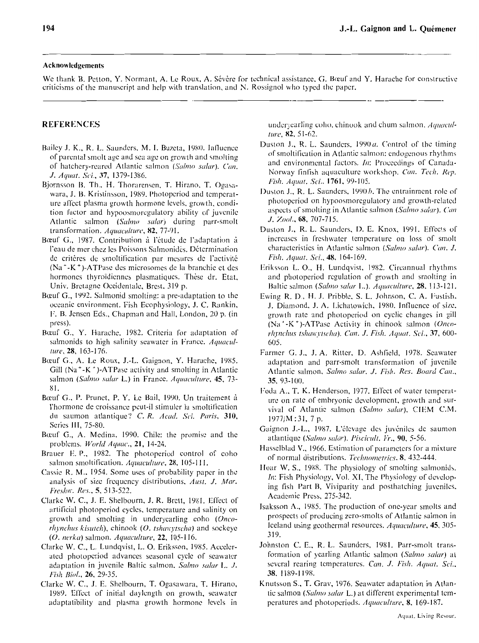#### Acknowledgements

We thank B. Petton, Y. Normant, A. Le Roux, A. Sévère for technical assistance, G. Bœuf and Y. Harache for constructive criticisms of the manuscript and help with translation, and N. Rossignol who typed the paper.

## **REFERENCES**

- Bailey J. K., R. L. Saunders, M. I. Buzeta, 1980. Influence of parental smolt age and sea age on growth and smolting of hatchery-reared Atlantic salmon (Salmo salar). Can. J. Aquat. Sci., 37, 1379-1386.
- Biornsson B. Th., H. Thorarensen, T. Hirano, T. Ogasawara, J. B. Kristinsson, 1989. Photoperiod and temperature affect plasma growth hormone levels, growth, condition factor and hypoosmoregulatory ability of juvenile Atlantic salmon (Salmo salar) during parr-smolt transformation. Aquaculture, 82, 77-91.
- Bœuf G., 1987. Contribution à l'étude de l'adaptation à l'eau de mer chez les Poissons Salmonidés. Détermination de critères de smoltification par mesures de l'activité (Na<sup>+</sup>-K<sup>+</sup>)-ATPase des microsomes de la branchie et des hormones thyroïdiennes plasmatiques. Thèse dr. Etat, Univ. Bretagne Occidentale, Brest, 319 p.
- Bœuf G., 1992. Salmonid smolting: a pre-adaptation to the oceanic environment. Fish Ecophysiology, J. C. Rankin, F. B. Jensen Eds., Chapman and Hall, London, 20 p. (in press).
- Bœuf G., Y. Harache, 1982. Criteria for adaptation of salmonids to high salinity seawater in France. Aquaculture, 28, 163-176.
- Bœuf G., A. Le Roux, J.-L. Gaignon, Y. Harache, 1985. Gill ( $Na^+$ -K<sup>+</sup>)-ATPase activity and smolting in Atlantic salmon (Salmo salar L.) in France. Aquaculture, 45, 73- $81.$
- Bœuf G., P. Prunet, P. Y. Le Bail, 1990. Un traitement à l'hormone de croissance peut-il stimuler la smoltification du saumon atlantique? C. R. Acad. Sci. Paris, 310, Series III, 75-80.
- Bœuf G., A. Medina, 1990. Chile: the promise and the problems. World Aquac., 21, 14-24.
- Brauer E. P., 1982. The photoperiod control of coho salmon smoltification. Aquaculture, 28, 105-111.
- Cassie R. M., 1954. Some uses of probability paper in the analysis of size frequency distributions, Aust. J. Mar. Freshw. Res., 5, 513-522.
- Clarke W. C., J. E. Shelbourn, J. R. Brett, 1981. Effect of artificial photoperiod cycles, temperature and salinity on growth and smolting in underycarling coho (Oncorhynchus kisutch), chinook (O. tshawytscha) and sockeye (O. nerka) salmon. Aquaculture, 22, 105-116.
- Clarke W. C., L. Lundqvist, L. O. Eriksson, 1985. Accelerated photoperiod advances seasonal cycle of seawater adaptation in juvenile Baltic salmon, Salmo salar L. J. Fish Biol., 26, 29-35.
- Clarke W. C., J. E. Shelbourn, T. Ogasawara, T. Hirano, 1989. Effect of initial daylength on growth, seawater adaptatibility and plasma growth hormone levels in

underyearling coho, chinook and chum salmon. Aquaculture, 82, 51-62.

- Duston J., R. L. Saunders, 1990 a. Control of the timing of smoltification in Atlantic salmon: endogenous rhythms and environmental factors. In: Proceedings of Canada-Norway finfish aquaculture workshop. Can. Tech. Rep. Fish. Aquat. Sci., 1761, 99-105.
- Duston J., R. L. Saunders, 1990*b*. The entrainment role of photoperiod on hypoosmoregulatory and growth-related aspects of smolting in Atlantic salmon (Salmo salar). Can J. Zool., 68, 707-715.
- Duston J., R. L. Saunders, D. E. Knox, 1991. Effects of increases in freshwater temperature on loss of smolt characteristics in Atlantic salmon (Salmo salar). Can. J. Fish. Aquat. Sci., 48, 164-169.
- Eriksson L. O., H. Lundqvist, 1982. Circannual rhythms and photoperiod regulation of growth and smolting in Baltic salmon (Salmo salar L.). Aquaculture, 28, 113-121.
- Ewing R. D., H. J. Pribble, S. L. Johnson, C. A. Fustish. J. Diamond, J. A. Lichatowich, 1980. Influence of size, growth rate and photoperiod on cyclic changes in gill (Na<sup>+</sup>-K<sup>+</sup>)-ATPase Activity in chinook salmon (Oncorhynchus tshawytscha). Can. J. Fish. Aquat. Sci., 37, 600-605.
- Farmer G. J., J. A. Ritter, D. Ashfield, 1978. Scawater adaptation and parr-smolt transformation of juvenile Atlantic salmon, Salmo salar. J. Fish. Res. Board Can., 35, 93-100.
- Foda A., T. K. Henderson, 1977. Effect of water temperature on rate of embryonic development, growth and survival of Atlantic salmon (Salmo salar), CIEM C.M.  $1977/M:31, 7 p.$
- Gaignon J.-L., 1987. L'élevage des juvéniles de saumon atlantique (Salmo salar). Piscicult. Fr., 90, 5-56.
- Hasselblad V., 1966. Estimation of parameters for a mixture of normal distributions. Technometrics, 8, 432-444.
- Hoar W. S., 1988. The physiology of smolting salmonids. In: Fish Physiology, Vol. XI, The Physiology of developing fish Part B, Viviparity and posthatching juveniles. Academic Press, 275-342.
- Isaksson A., 1985. The production of one-year smolts and prospects of producing zero-smolts of Atlantic salmon in Iceland using geothermal resources. Aquaculture, 45, 305-319.
- Johnston C. E., R. L. Saunders, 1981. Parr-smolt transformation of yearling Atlantic salmon (Salmo salar) at several rearing temperatures. Can. J. Fish. Aquat. Sci., 38, 1189-1198.
- Knutsson S., T. Grav, 1976. Seawater adaptation in Atlantic salmon (Salmo salar L.) at different experimental temperatures and photoperiods. Aquaculture, 8, 169-187.